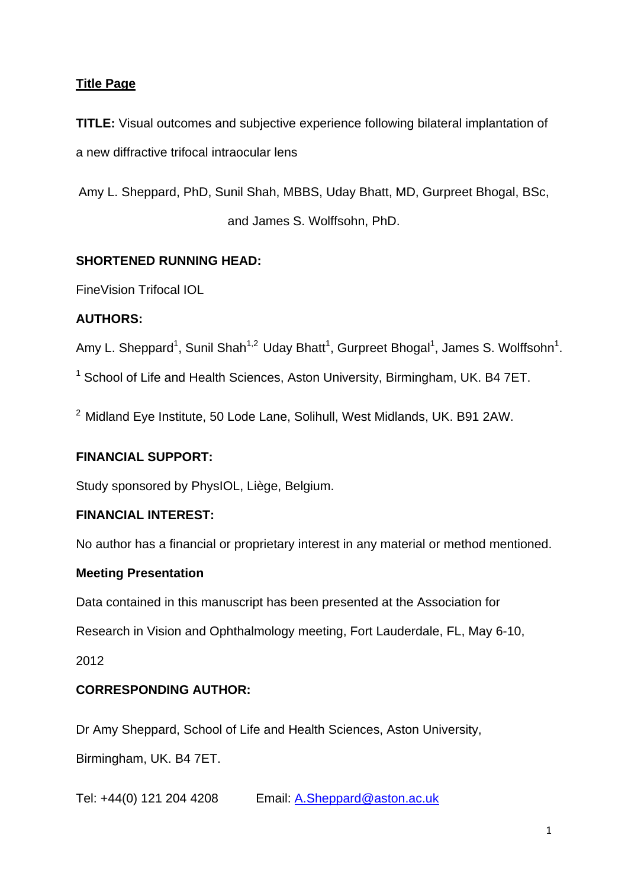## **Title Page**

**TITLE:** Visual outcomes and subjective experience following bilateral implantation of a new diffractive trifocal intraocular lens

Amy L. Sheppard, PhD, Sunil Shah, MBBS, Uday Bhatt, MD, Gurpreet Bhogal, BSc, and James S. Wolffsohn, PhD.

## **SHORTENED RUNNING HEAD:**

FineVision Trifocal IOL

## **AUTHORS:**

Amy L. Sheppard<sup>1</sup>, Sunil Shah<sup>1,2</sup> Uday Bhatt<sup>1</sup>, Gurpreet Bhogal<sup>1</sup>, James S. Wolffsohn<sup>1</sup>.

<sup>1</sup> School of Life and Health Sciences, Aston University, Birmingham, UK. B4 7ET.

<sup>2</sup> Midland Eye Institute, 50 Lode Lane, Solihull, West Midlands, UK. B91 2AW.

# **FINANCIAL SUPPORT:**

Study sponsored by PhysIOL, Liège, Belgium.

# **FINANCIAL INTEREST:**

No author has a financial or proprietary interest in any material or method mentioned.

## **Meeting Presentation**

Data contained in this manuscript has been presented at the Association for

Research in Vision and Ophthalmology meeting, Fort Lauderdale, FL, May 6-10,

2012

# **CORRESPONDING AUTHOR:**

Dr Amy Sheppard, School of Life and Health Sciences, Aston University,

Birmingham, UK. B4 7ET.

Tel: +44(0) 121 204 4208 Email: A.Sheppard@aston.ac.uk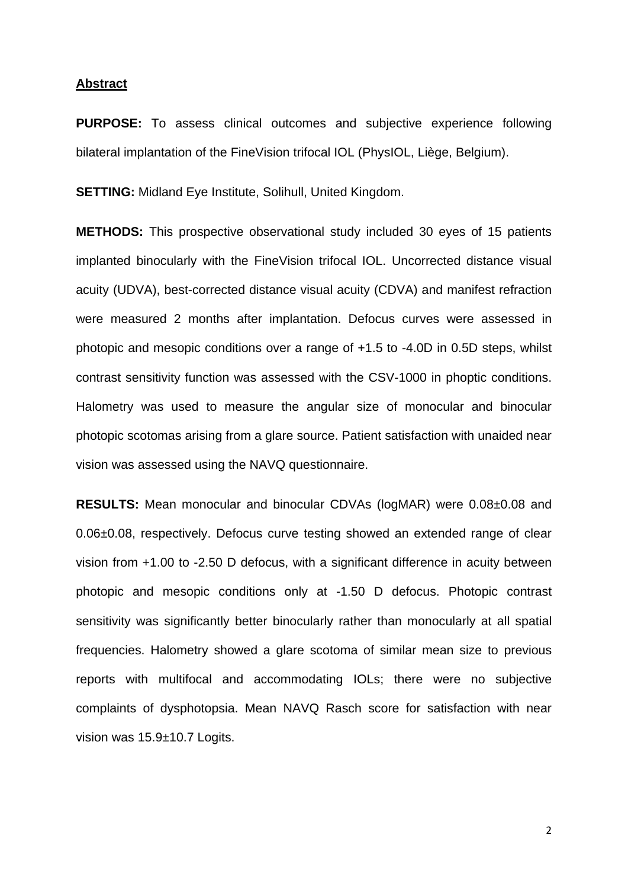#### **Abstract**

**PURPOSE:** To assess clinical outcomes and subjective experience following bilateral implantation of the FineVision trifocal IOL (PhysIOL, Liège, Belgium).

**SETTING:** Midland Eye Institute, Solihull, United Kingdom.

**METHODS:** This prospective observational study included 30 eyes of 15 patients implanted binocularly with the FineVision trifocal IOL. Uncorrected distance visual acuity (UDVA), best-corrected distance visual acuity (CDVA) and manifest refraction were measured 2 months after implantation. Defocus curves were assessed in photopic and mesopic conditions over a range of +1.5 to -4.0D in 0.5D steps, whilst contrast sensitivity function was assessed with the CSV-1000 in phoptic conditions. Halometry was used to measure the angular size of monocular and binocular photopic scotomas arising from a glare source. Patient satisfaction with unaided near vision was assessed using the NAVQ questionnaire.

**RESULTS:** Mean monocular and binocular CDVAs (logMAR) were 0.08±0.08 and 0.06±0.08, respectively. Defocus curve testing showed an extended range of clear vision from +1.00 to -2.50 D defocus, with a significant difference in acuity between photopic and mesopic conditions only at -1.50 D defocus. Photopic contrast sensitivity was significantly better binocularly rather than monocularly at all spatial frequencies. Halometry showed a glare scotoma of similar mean size to previous reports with multifocal and accommodating IOLs; there were no subjective complaints of dysphotopsia. Mean NAVQ Rasch score for satisfaction with near vision was 15.9±10.7 Logits.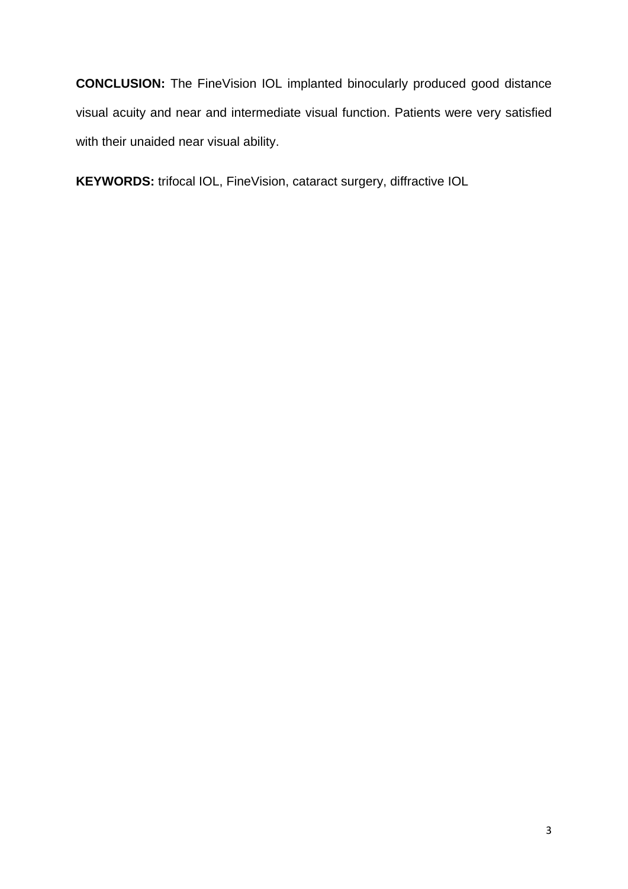**CONCLUSION:** The FineVision IOL implanted binocularly produced good distance visual acuity and near and intermediate visual function. Patients were very satisfied with their unaided near visual ability.

**KEYWORDS:** trifocal IOL, FineVision, cataract surgery, diffractive IOL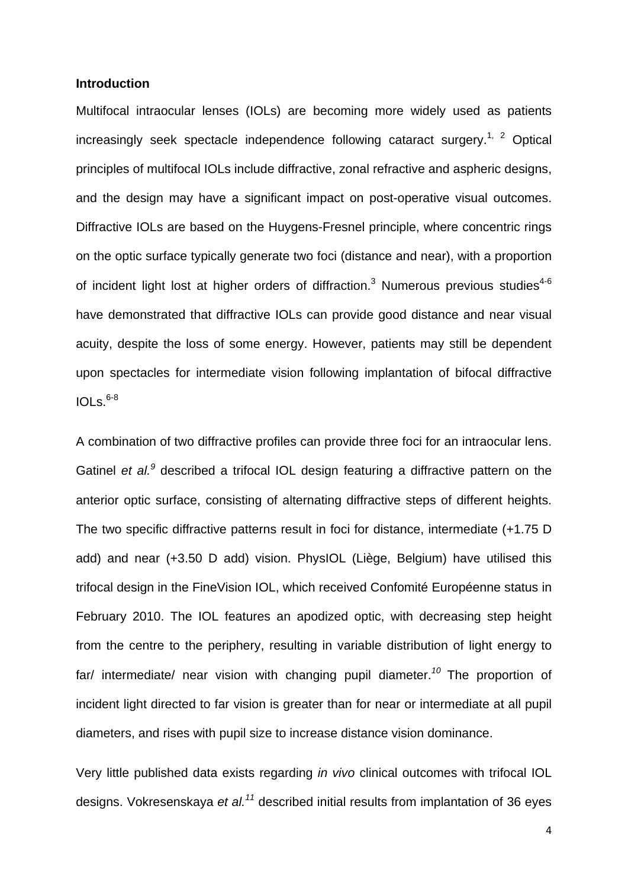#### **Introduction**

Multifocal intraocular lenses (IOLs) are becoming more widely used as patients increasingly seek spectacle independence following cataract surgery.<sup>1, 2</sup> Optical principles of multifocal IOLs include diffractive, zonal refractive and aspheric designs, and the design may have a significant impact on post-operative visual outcomes. Diffractive IOLs are based on the Huygens-Fresnel principle, where concentric rings on the optic surface typically generate two foci (distance and near), with a proportion of incident light lost at higher orders of diffraction.<sup>3</sup> Numerous previous studies<sup>4-6</sup> have demonstrated that diffractive IOLs can provide good distance and near visual acuity, despite the loss of some energy. However, patients may still be dependent upon spectacles for intermediate vision following implantation of bifocal diffractive  $IOLs.<sup>6-8</sup>$ 

A combination of two diffractive profiles can provide three foci for an intraocular lens. Gatinel *et al.<sup>9</sup>* described a trifocal IOL design featuring a diffractive pattern on the anterior optic surface, consisting of alternating diffractive steps of different heights. The two specific diffractive patterns result in foci for distance, intermediate (+1.75 D add) and near (+3.50 D add) vision. PhysIOL (Liège, Belgium) have utilised this trifocal design in the FineVision IOL, which received Confomité Européenne status in February 2010. The IOL features an apodized optic, with decreasing step height from the centre to the periphery, resulting in variable distribution of light energy to far/ intermediate/ near vision with changing pupil diameter.<sup>10</sup> The proportion of incident light directed to far vision is greater than for near or intermediate at all pupil diameters, and rises with pupil size to increase distance vision dominance.

Very little published data exists regarding *in vivo* clinical outcomes with trifocal IOL designs. Vokresenskaya *et al.<sup>11</sup>* described initial results from implantation of 36 eyes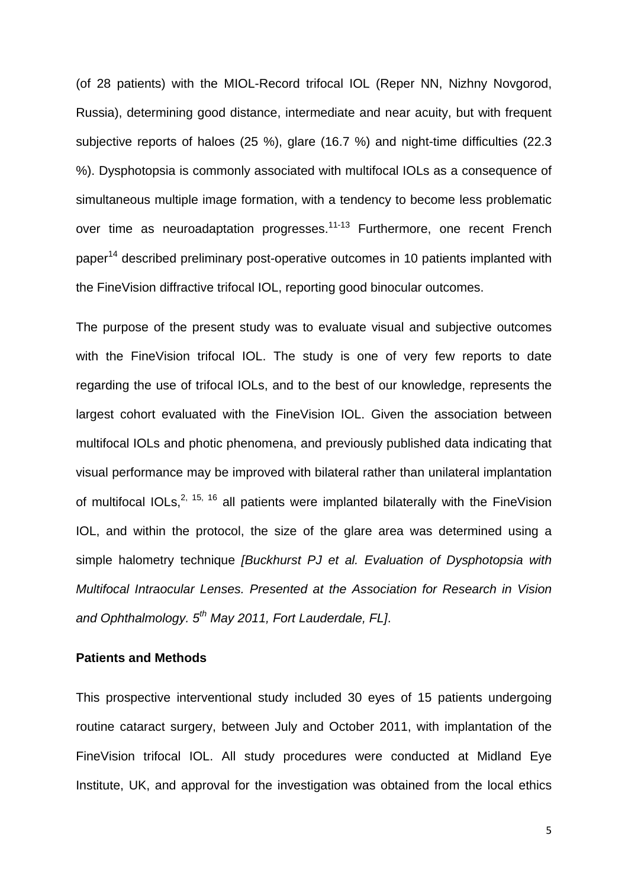(of 28 patients) with the MIOL-Record trifocal IOL (Reper NN, Nizhny Novgorod, Russia), determining good distance, intermediate and near acuity, but with frequent subjective reports of haloes (25 %), glare (16.7 %) and night-time difficulties (22.3 %). Dysphotopsia is commonly associated with multifocal IOLs as a consequence of simultaneous multiple image formation, with a tendency to become less problematic over time as neuroadaptation progresses.<sup>11-13</sup> Furthermore, one recent French paper<sup>14</sup> described preliminary post-operative outcomes in 10 patients implanted with the FineVision diffractive trifocal IOL, reporting good binocular outcomes.

The purpose of the present study was to evaluate visual and subjective outcomes with the FineVision trifocal IOL. The study is one of very few reports to date regarding the use of trifocal IOLs, and to the best of our knowledge, represents the largest cohort evaluated with the FineVision IOL. Given the association between multifocal IOLs and photic phenomena, and previously published data indicating that visual performance may be improved with bilateral rather than unilateral implantation of multifocal IOLs,<sup>2, 15, 16</sup> all patients were implanted bilaterally with the FineVision IOL, and within the protocol, the size of the glare area was determined using a simple halometry technique *[Buckhurst PJ et al. Evaluation of Dysphotopsia with Multifocal Intraocular Lenses. Presented at the Association for Research in Vision and Ophthalmology. 5th May 2011, Fort Lauderdale, FL]*.

### **Patients and Methods**

This prospective interventional study included 30 eyes of 15 patients undergoing routine cataract surgery, between July and October 2011, with implantation of the FineVision trifocal IOL. All study procedures were conducted at Midland Eye Institute, UK, and approval for the investigation was obtained from the local ethics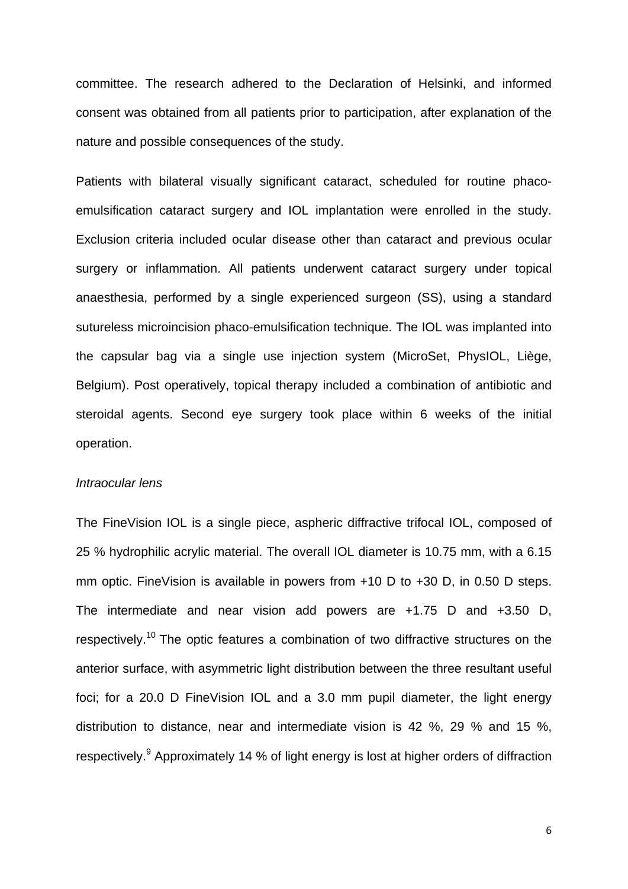committee. The research adhered to the Declaration of Helsinki, and informed consent was obtained from all patients prior to participation, after explanation of the nature and possible consequences of the study.

Patients with bilateral visually significant cataract, scheduled for routine phacoemulsification cataract surgery and IOL implantation were enrolled in the study. Exclusion criteria included ocular disease other than cataract and previous ocular surgery or inflammation. All patients underwent cataract surgery under topical anaesthesia, performed by a single experienced surgeon (SS), using a standard sutureless microincision phaco-emulsification technique. The IOL was implanted into the capsular bag via a single use injection system (MicroSet, PhysIOL, Liège, Belgium). Post operatively, topical therapy included a combination of antibiotic and steroidal agents. Second eye surgery took place within 6 weeks of the initial operation.

#### *Intraocular lens*

The FineVision IOL is a single piece, aspheric diffractive trifocal IOL, composed of 25 % hydrophilic acrylic material. The overall IOL diameter is 10.75 mm, with a 6.15 mm optic. FineVision is available in powers from +10 D to +30 D, in 0.50 D steps. The intermediate and near vision add powers are +1.75 D and +3.50 D, respectively.<sup>10</sup> The optic features a combination of two diffractive structures on the anterior surface, with asymmetric light distribution between the three resultant useful foci; for a 20.0 D FineVision IOL and a 3.0 mm pupil diameter, the light energy distribution to distance, near and intermediate vision is 42 %, 29 % and 15 %, respectively.<sup>9</sup> Approximately 14 % of light energy is lost at higher orders of diffraction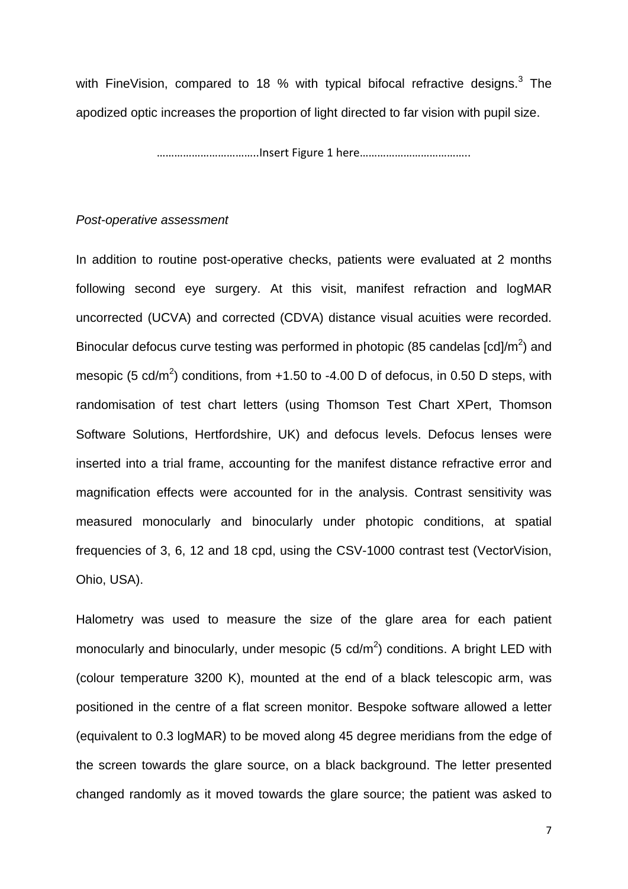with FineVision, compared to 18 % with typical bifocal refractive designs. $3$  The apodized optic increases the proportion of light directed to far vision with pupil size.

……………………………..Insert Figure 1 here………………………………..

#### *Post-operative assessment*

In addition to routine post-operative checks, patients were evaluated at 2 months following second eye surgery. At this visit, manifest refraction and logMAR uncorrected (UCVA) and corrected (CDVA) distance visual acuities were recorded. Binocular defocus curve testing was performed in photopic (85 candelas [cd]/ $m^2$ ) and mesopic (5 cd/m<sup>2</sup>) conditions, from  $+1.50$  to -4.00 D of defocus, in 0.50 D steps, with randomisation of test chart letters (using Thomson Test Chart XPert, Thomson Software Solutions, Hertfordshire, UK) and defocus levels. Defocus lenses were inserted into a trial frame, accounting for the manifest distance refractive error and magnification effects were accounted for in the analysis. Contrast sensitivity was measured monocularly and binocularly under photopic conditions, at spatial frequencies of 3, 6, 12 and 18 cpd, using the CSV-1000 contrast test (VectorVision, Ohio, USA).

Halometry was used to measure the size of the glare area for each patient monocularly and binocularly, under mesopic (5 cd/m<sup>2</sup>) conditions. A bright LED with (colour temperature 3200 K), mounted at the end of a black telescopic arm, was positioned in the centre of a flat screen monitor. Bespoke software allowed a letter (equivalent to 0.3 logMAR) to be moved along 45 degree meridians from the edge of the screen towards the glare source, on a black background. The letter presented changed randomly as it moved towards the glare source; the patient was asked to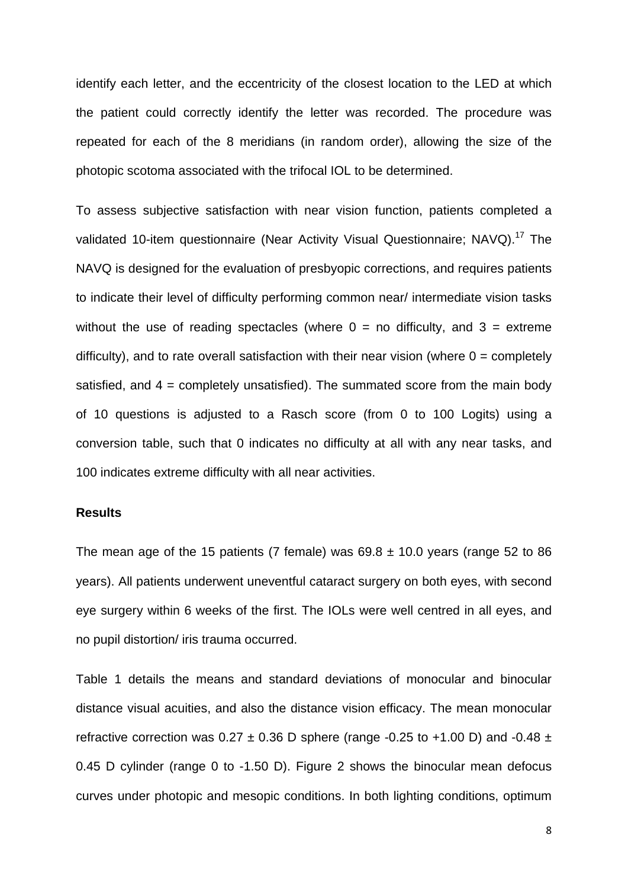identify each letter, and the eccentricity of the closest location to the LED at which the patient could correctly identify the letter was recorded. The procedure was repeated for each of the 8 meridians (in random order), allowing the size of the photopic scotoma associated with the trifocal IOL to be determined.

To assess subjective satisfaction with near vision function, patients completed a validated 10-item questionnaire (Near Activity Visual Questionnaire; NAVQ).<sup>17</sup> The NAVQ is designed for the evaluation of presbyopic corrections, and requires patients to indicate their level of difficulty performing common near/ intermediate vision tasks without the use of reading spectacles (where  $0 =$  no difficulty, and  $3 =$  extreme difficulty), and to rate overall satisfaction with their near vision (where  $0 =$  completely satisfied, and 4 = completely unsatisfied). The summated score from the main body of 10 questions is adjusted to a Rasch score (from 0 to 100 Logits) using a conversion table, such that 0 indicates no difficulty at all with any near tasks, and 100 indicates extreme difficulty with all near activities.

#### **Results**

The mean age of the 15 patients (7 female) was  $69.8 \pm 10.0$  years (range 52 to 86 years). All patients underwent uneventful cataract surgery on both eyes, with second eye surgery within 6 weeks of the first. The IOLs were well centred in all eyes, and no pupil distortion/ iris trauma occurred.

Table 1 details the means and standard deviations of monocular and binocular distance visual acuities, and also the distance vision efficacy. The mean monocular refractive correction was  $0.27 \pm 0.36$  D sphere (range -0.25 to +1.00 D) and -0.48  $\pm$ 0.45 D cylinder (range 0 to -1.50 D). Figure 2 shows the binocular mean defocus curves under photopic and mesopic conditions. In both lighting conditions, optimum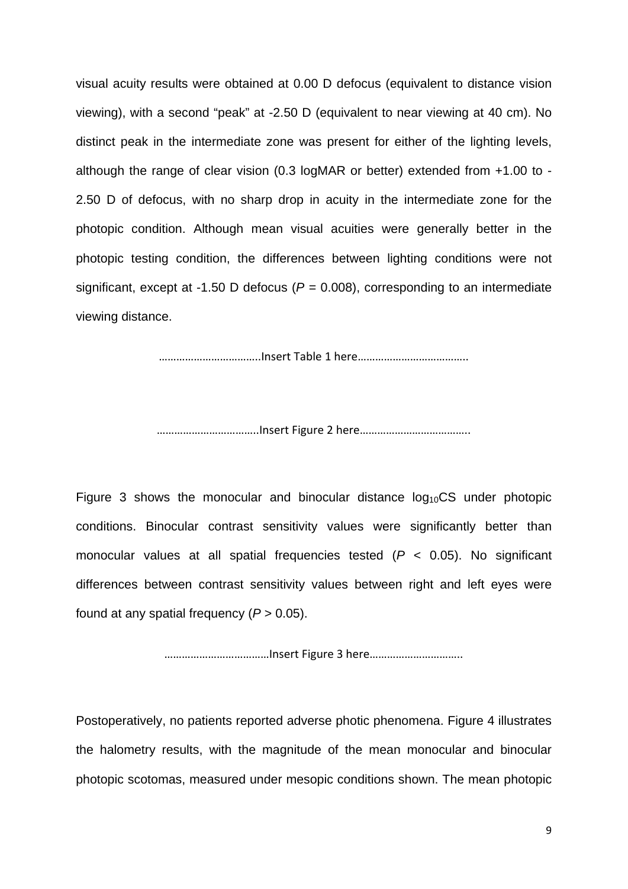visual acuity results were obtained at 0.00 D defocus (equivalent to distance vision viewing), with a second "peak" at -2.50 D (equivalent to near viewing at 40 cm). No distinct peak in the intermediate zone was present for either of the lighting levels, although the range of clear vision (0.3 logMAR or better) extended from +1.00 to - 2.50 D of defocus, with no sharp drop in acuity in the intermediate zone for the photopic condition. Although mean visual acuities were generally better in the photopic testing condition, the differences between lighting conditions were not significant, except at -1.50 D defocus ( $P = 0.008$ ), corresponding to an intermediate viewing distance.

……………………………..Insert Table 1 here………………………………..

……………………………..Insert Figure 2 here………………………………..

Figure 3 shows the monocular and binocular distance  $log_{10}CS$  under photopic conditions. Binocular contrast sensitivity values were significantly better than monocular values at all spatial frequencies tested (*P* < 0.05). No significant differences between contrast sensitivity values between right and left eyes were found at any spatial frequency (*P* > 0.05).

………………………………Insert Figure 3 here…………………………..

Postoperatively, no patients reported adverse photic phenomena. Figure 4 illustrates the halometry results, with the magnitude of the mean monocular and binocular photopic scotomas, measured under mesopic conditions shown. The mean photopic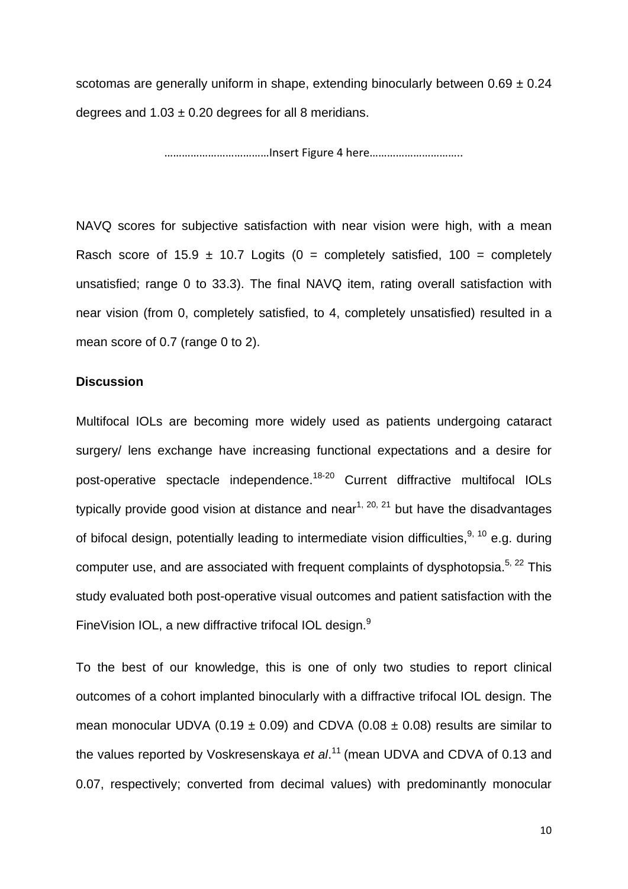scotomas are generally uniform in shape, extending binocularly between  $0.69 \pm 0.24$ degrees and  $1.03 \pm 0.20$  degrees for all 8 meridians.

………………………………Insert Figure 4 here…………………………..

NAVQ scores for subjective satisfaction with near vision were high, with a mean Rasch score of 15.9  $\pm$  10.7 Logits (0 = completely satisfied, 100 = completely unsatisfied; range 0 to 33.3). The final NAVQ item, rating overall satisfaction with near vision (from 0, completely satisfied, to 4, completely unsatisfied) resulted in a mean score of 0.7 (range 0 to 2).

#### **Discussion**

Multifocal IOLs are becoming more widely used as patients undergoing cataract surgery/ lens exchange have increasing functional expectations and a desire for post-operative spectacle independence.18-20 Current diffractive multifocal IOLs typically provide good vision at distance and near<sup>1, 20, 21</sup> but have the disadvantages of bifocal design, potentially leading to intermediate vision difficulties.<sup>9, 10</sup> e.g. during computer use, and are associated with frequent complaints of dysphotopsia.<sup>5, 22</sup> This study evaluated both post-operative visual outcomes and patient satisfaction with the FineVision IOL, a new diffractive trifocal IOL design.<sup>9</sup>

To the best of our knowledge, this is one of only two studies to report clinical outcomes of a cohort implanted binocularly with a diffractive trifocal IOL design. The mean monocular UDVA (0.19  $\pm$  0.09) and CDVA (0.08  $\pm$  0.08) results are similar to the values reported by Voskresenskaya *et al*. 11 (mean UDVA and CDVA of 0.13 and 0.07, respectively; converted from decimal values) with predominantly monocular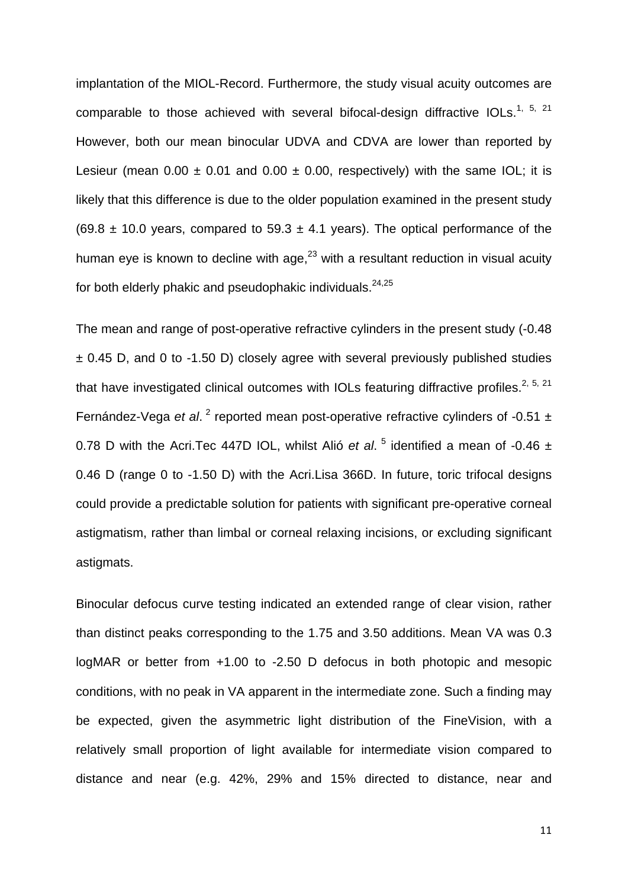implantation of the MIOL-Record. Furthermore, the study visual acuity outcomes are comparable to those achieved with several bifocal-design diffractive  $IOLs.$ <sup>1, 5, 21</sup> However, both our mean binocular UDVA and CDVA are lower than reported by Lesieur (mean  $0.00 \pm 0.01$  and  $0.00 \pm 0.00$ , respectively) with the same IOL; it is likely that this difference is due to the older population examined in the present study (69.8  $\pm$  10.0 years, compared to 59.3  $\pm$  4.1 years). The optical performance of the human eye is known to decline with age, $^{23}$  with a resultant reduction in visual acuity for both elderly phakic and pseudophakic individuals. $24,25$ 

The mean and range of post-operative refractive cylinders in the present study (-0.48 ± 0.45 D, and 0 to -1.50 D) closely agree with several previously published studies that have investigated clinical outcomes with IOLs featuring diffractive profiles.<sup>2, 5, 21</sup> Fernández-Vega *et al.* <sup>2</sup> reported mean post-operative refractive cylinders of -0.51 ± 0.78 D with the Acri.Tec 447D IOL, whilst Alió *et al.*<sup>5</sup> identified a mean of -0.46  $\pm$ 0.46 D (range 0 to -1.50 D) with the Acri.Lisa 366D. In future, toric trifocal designs could provide a predictable solution for patients with significant pre-operative corneal astigmatism, rather than limbal or corneal relaxing incisions, or excluding significant astigmats.

Binocular defocus curve testing indicated an extended range of clear vision, rather than distinct peaks corresponding to the 1.75 and 3.50 additions. Mean VA was 0.3 logMAR or better from +1.00 to -2.50 D defocus in both photopic and mesopic conditions, with no peak in VA apparent in the intermediate zone. Such a finding may be expected, given the asymmetric light distribution of the FineVision, with a relatively small proportion of light available for intermediate vision compared to distance and near (e.g. 42%, 29% and 15% directed to distance, near and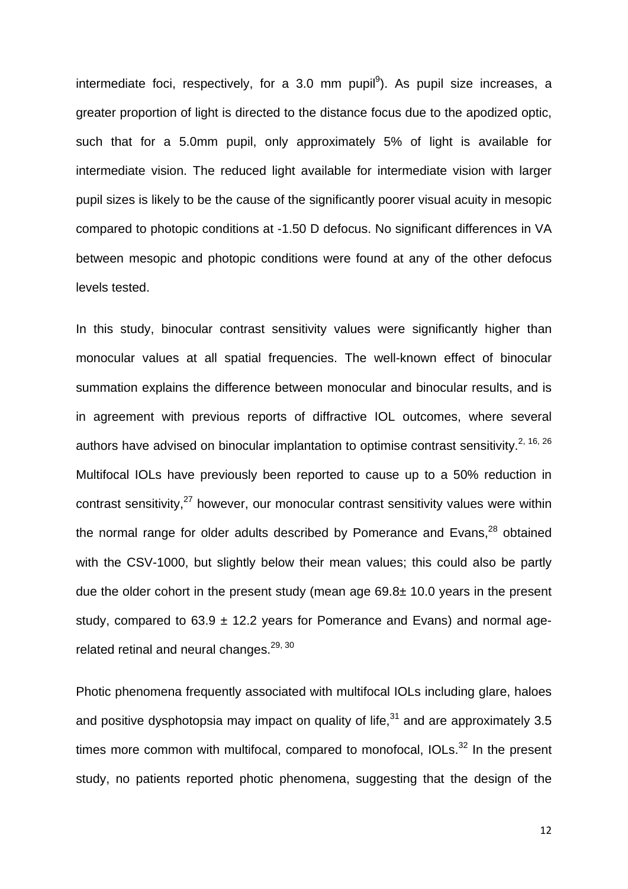intermediate foci, respectively, for a 3.0 mm pupil<sup>9</sup>). As pupil size increases, a greater proportion of light is directed to the distance focus due to the apodized optic, such that for a 5.0mm pupil, only approximately 5% of light is available for intermediate vision. The reduced light available for intermediate vision with larger pupil sizes is likely to be the cause of the significantly poorer visual acuity in mesopic compared to photopic conditions at -1.50 D defocus. No significant differences in VA between mesopic and photopic conditions were found at any of the other defocus levels tested.

In this study, binocular contrast sensitivity values were significantly higher than monocular values at all spatial frequencies. The well-known effect of binocular summation explains the difference between monocular and binocular results, and is in agreement with previous reports of diffractive IOL outcomes, where several authors have advised on binocular implantation to optimise contrast sensitivity.<sup>2, 16, 26</sup> Multifocal IOLs have previously been reported to cause up to a 50% reduction in contrast sensitivity,<sup>27</sup> however, our monocular contrast sensitivity values were within the normal range for older adults described by Pomerance and Evans, $^{28}$  obtained with the CSV-1000, but slightly below their mean values; this could also be partly due the older cohort in the present study (mean age 69.8± 10.0 years in the present study, compared to  $63.9 \pm 12.2$  years for Pomerance and Evans) and normal agerelated retinal and neural changes.<sup>29, 30</sup>

Photic phenomena frequently associated with multifocal IOLs including glare, haloes and positive dysphotopsia may impact on quality of life,  $31$  and are approximately 3.5 times more common with multifocal, compared to monofocal,  $IOLs$ <sup>32</sup> In the present study, no patients reported photic phenomena, suggesting that the design of the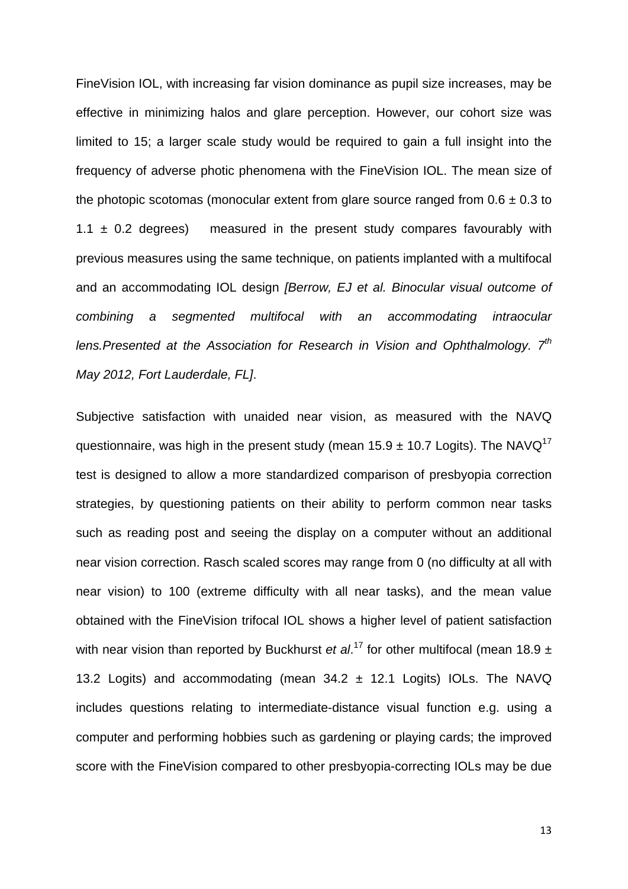FineVision IOL, with increasing far vision dominance as pupil size increases, may be effective in minimizing halos and glare perception. However, our cohort size was limited to 15; a larger scale study would be required to gain a full insight into the frequency of adverse photic phenomena with the FineVision IOL. The mean size of the photopic scotomas (monocular extent from glare source ranged from  $0.6 \pm 0.3$  to 1.1  $\pm$  0.2 degrees) measured in the present study compares favourably with previous measures using the same technique, on patients implanted with a multifocal and an accommodating IOL design *[Berrow, EJ et al. Binocular visual outcome of combining a segmented multifocal with an accommodating intraocular lens.Presented at the Association for Research in Vision and Ophthalmology. 7th May 2012, Fort Lauderdale, FL]*.

Subjective satisfaction with unaided near vision, as measured with the NAVQ questionnaire, was high in the present study (mean  $15.9 \pm 10.7$  Logits). The NAVQ<sup>17</sup> test is designed to allow a more standardized comparison of presbyopia correction strategies, by questioning patients on their ability to perform common near tasks such as reading post and seeing the display on a computer without an additional near vision correction. Rasch scaled scores may range from 0 (no difficulty at all with near vision) to 100 (extreme difficulty with all near tasks), and the mean value obtained with the FineVision trifocal IOL shows a higher level of patient satisfaction with near vision than reported by Buckhurst *et al*.<sup>17</sup> for other multifocal (mean 18.9 ± 13.2 Logits) and accommodating (mean  $34.2 \pm 12.1$  Logits) IOLs. The NAVQ includes questions relating to intermediate-distance visual function e.g. using a computer and performing hobbies such as gardening or playing cards; the improved score with the FineVision compared to other presbyopia-correcting IOLs may be due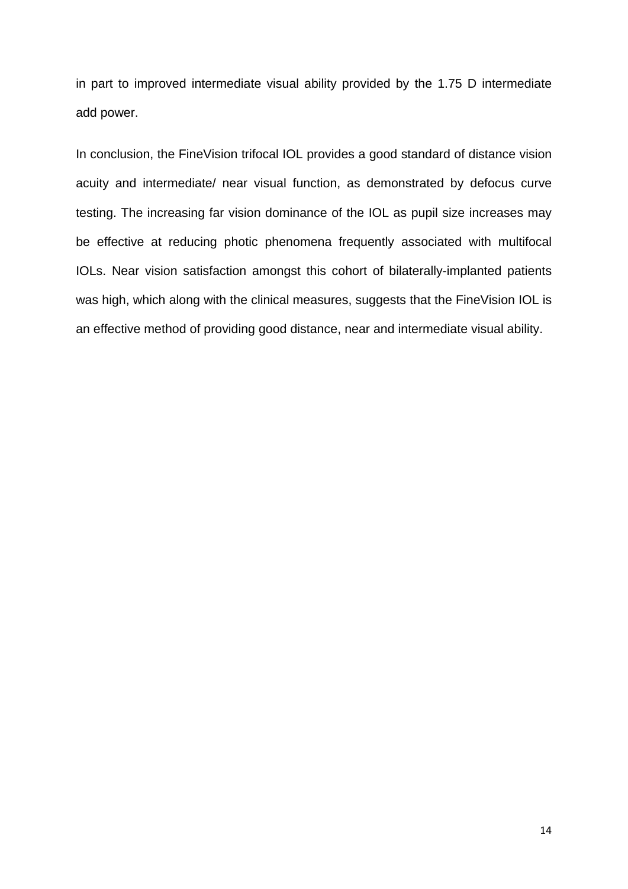in part to improved intermediate visual ability provided by the 1.75 D intermediate add power.

In conclusion, the FineVision trifocal IOL provides a good standard of distance vision acuity and intermediate/ near visual function, as demonstrated by defocus curve testing. The increasing far vision dominance of the IOL as pupil size increases may be effective at reducing photic phenomena frequently associated with multifocal IOLs. Near vision satisfaction amongst this cohort of bilaterally-implanted patients was high, which along with the clinical measures, suggests that the FineVision IOL is an effective method of providing good distance, near and intermediate visual ability.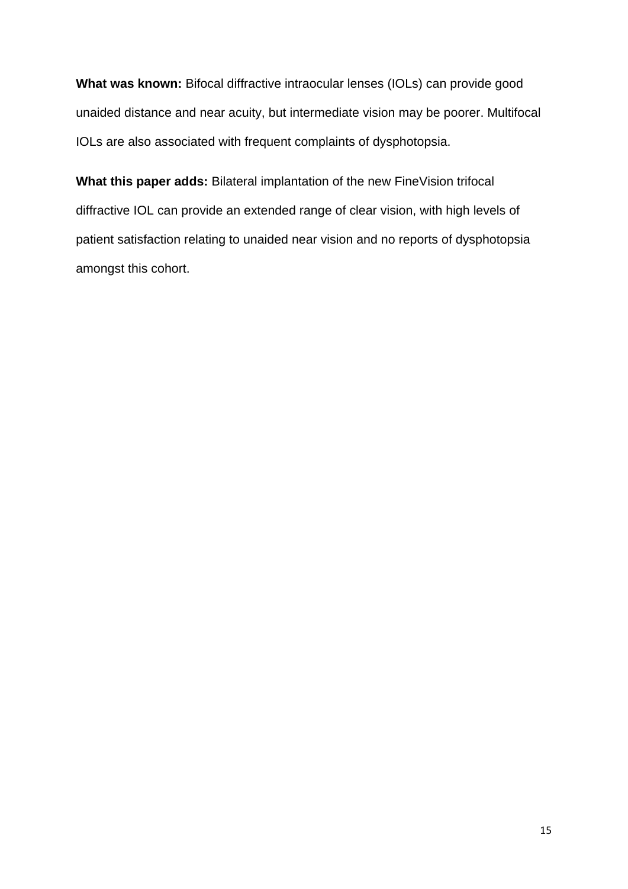**What was known:** Bifocal diffractive intraocular lenses (IOLs) can provide good unaided distance and near acuity, but intermediate vision may be poorer. Multifocal IOLs are also associated with frequent complaints of dysphotopsia.

**What this paper adds:** Bilateral implantation of the new FineVision trifocal diffractive IOL can provide an extended range of clear vision, with high levels of patient satisfaction relating to unaided near vision and no reports of dysphotopsia amongst this cohort.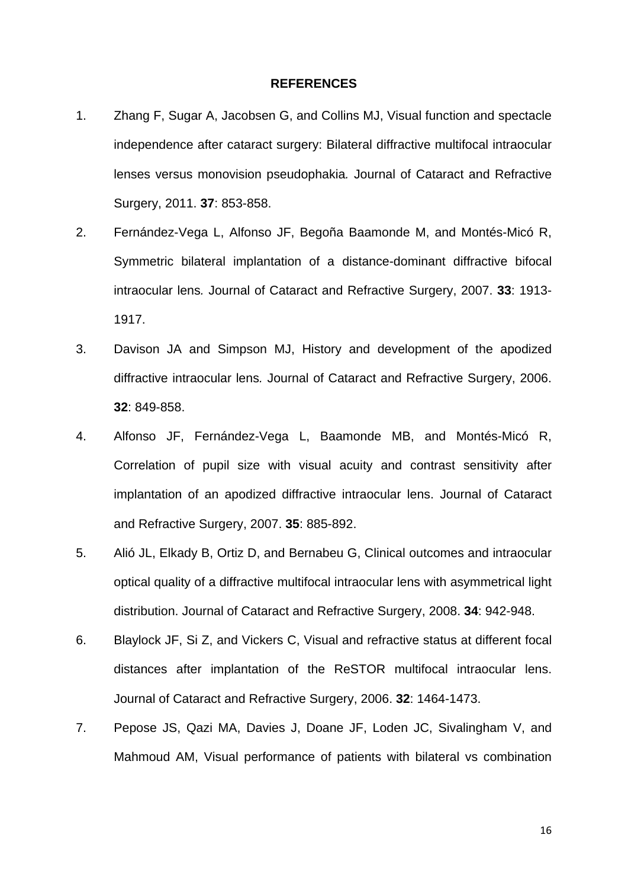#### **REFERENCES**

- 1. Zhang F, Sugar A, Jacobsen G, and Collins MJ, Visual function and spectacle independence after cataract surgery: Bilateral diffractive multifocal intraocular lenses versus monovision pseudophakia*.* Journal of Cataract and Refractive Surgery, 2011. **37**: 853-858.
- 2. Fernández-Vega L, Alfonso JF, Begoña Baamonde M, and Montés-Micó R, Symmetric bilateral implantation of a distance-dominant diffractive bifocal intraocular lens*.* Journal of Cataract and Refractive Surgery, 2007. **33**: 1913- 1917.
- 3. Davison JA and Simpson MJ, History and development of the apodized diffractive intraocular lens*.* Journal of Cataract and Refractive Surgery, 2006. **32**: 849-858.
- 4. Alfonso JF, Fernández-Vega L, Baamonde MB, and Montés-Micó R, Correlation of pupil size with visual acuity and contrast sensitivity after implantation of an apodized diffractive intraocular lens. Journal of Cataract and Refractive Surgery, 2007. **35**: 885-892.
- 5. Alió JL, Elkady B, Ortiz D, and Bernabeu G, Clinical outcomes and intraocular optical quality of a diffractive multifocal intraocular lens with asymmetrical light distribution. Journal of Cataract and Refractive Surgery, 2008. **34**: 942-948.
- 6. Blaylock JF, Si Z, and Vickers C, Visual and refractive status at different focal distances after implantation of the ReSTOR multifocal intraocular lens. Journal of Cataract and Refractive Surgery, 2006. **32**: 1464-1473.
- 7. Pepose JS, Qazi MA, Davies J, Doane JF, Loden JC, Sivalingham V, and Mahmoud AM, Visual performance of patients with bilateral vs combination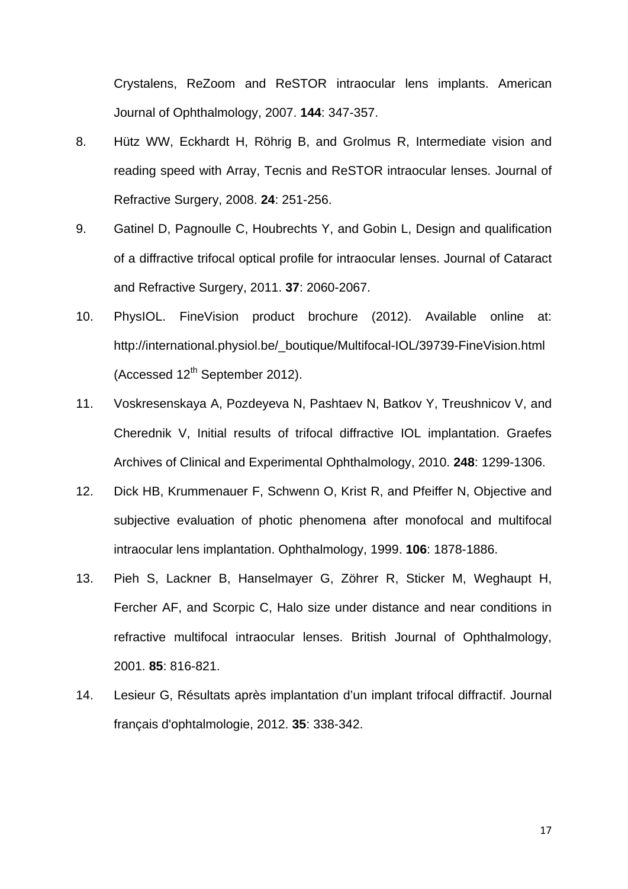Crystalens, ReZoom and ReSTOR intraocular lens implants. American Journal of Ophthalmology, 2007. **144**: 347-357.

- 8. Hütz WW, Eckhardt H, Röhrig B, and Grolmus R, Intermediate vision and reading speed with Array, Tecnis and ReSTOR intraocular lenses. Journal of Refractive Surgery, 2008. **24**: 251-256.
- 9. Gatinel D, Pagnoulle C, Houbrechts Y, and Gobin L, Design and qualification of a diffractive trifocal optical profile for intraocular lenses. Journal of Cataract and Refractive Surgery, 2011. **37**: 2060-2067.
- 10. PhysIOL. FineVision product brochure (2012). Available online at: http://international.physiol.be/\_boutique/Multifocal-IOL/39739-FineVision.html (Accessed  $12^{th}$  September 2012).
- 11. Voskresenskaya A, Pozdeyeva N, Pashtaev N, Batkov Y, Treushnicov V, and Cherednik V, Initial results of trifocal diffractive IOL implantation. Graefes Archives of Clinical and Experimental Ophthalmology, 2010. **248**: 1299-1306.
- 12. Dick HB, Krummenauer F, Schwenn O, Krist R, and Pfeiffer N, Objective and subjective evaluation of photic phenomena after monofocal and multifocal intraocular lens implantation. Ophthalmology, 1999. **106**: 1878-1886.
- 13. Pieh S, Lackner B, Hanselmayer G, Zöhrer R, Sticker M, Weghaupt H, Fercher AF, and Scorpic C, Halo size under distance and near conditions in refractive multifocal intraocular lenses. British Journal of Ophthalmology, 2001. **85**: 816-821.
- 14. Lesieur G, Résultats après implantation d'un implant trifocal diffractif. Journal français d'ophtalmologie, 2012. **35**: 338-342.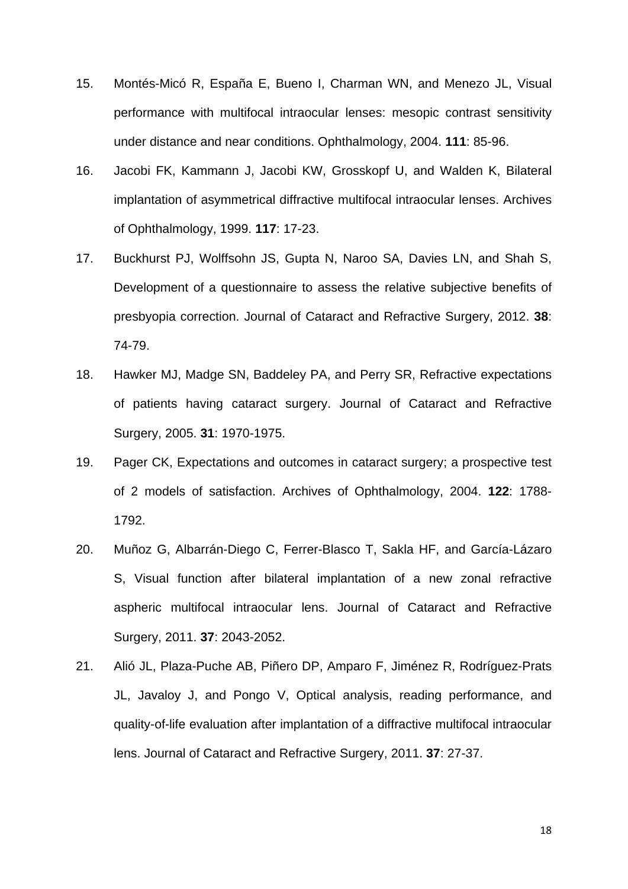- 15. Montés-Micó R, España E, Bueno I, Charman WN, and Menezo JL, Visual performance with multifocal intraocular lenses: mesopic contrast sensitivity under distance and near conditions. Ophthalmology, 2004. **111**: 85-96.
- 16. Jacobi FK, Kammann J, Jacobi KW, Grosskopf U, and Walden K, Bilateral implantation of asymmetrical diffractive multifocal intraocular lenses. Archives of Ophthalmology, 1999. **117**: 17-23.
- 17. Buckhurst PJ, Wolffsohn JS, Gupta N, Naroo SA, Davies LN, and Shah S, Development of a questionnaire to assess the relative subjective benefits of presbyopia correction. Journal of Cataract and Refractive Surgery, 2012. **38**: 74-79.
- 18. Hawker MJ, Madge SN, Baddeley PA, and Perry SR, Refractive expectations of patients having cataract surgery. Journal of Cataract and Refractive Surgery, 2005. **31**: 1970-1975.
- 19. Pager CK, Expectations and outcomes in cataract surgery; a prospective test of 2 models of satisfaction. Archives of Ophthalmology, 2004. **122**: 1788- 1792.
- 20. Muñoz G, Albarrán-Diego C, Ferrer-Blasco T, Sakla HF, and García-Lázaro S, Visual function after bilateral implantation of a new zonal refractive aspheric multifocal intraocular lens. Journal of Cataract and Refractive Surgery, 2011. **37**: 2043-2052.
- 21. Alió JL, Plaza-Puche AB, Piñero DP, Amparo F, Jiménez R, Rodríguez-Prats JL, Javaloy J, and Pongo V, Optical analysis, reading performance, and quality-of-life evaluation after implantation of a diffractive multifocal intraocular lens. Journal of Cataract and Refractive Surgery, 2011. **37**: 27-37.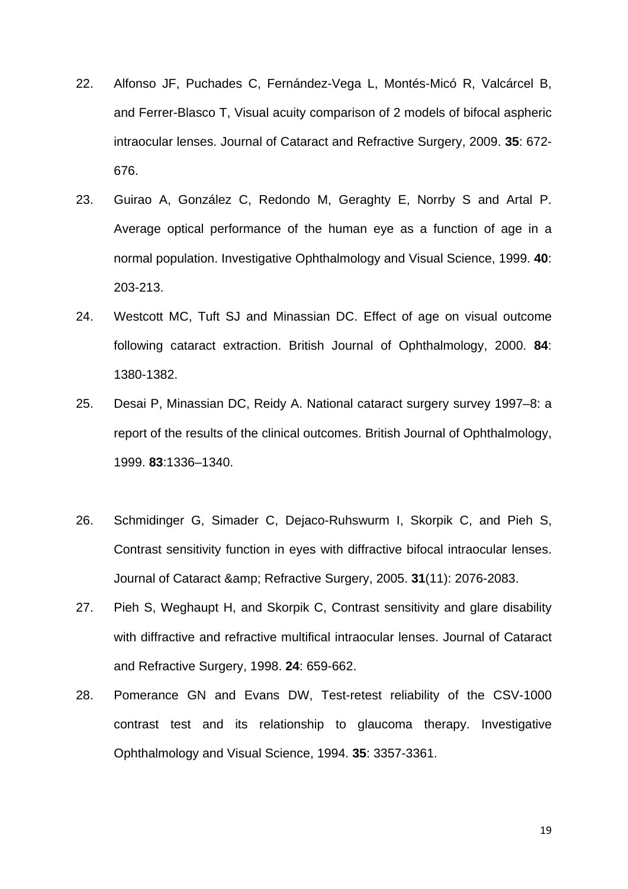- 22. Alfonso JF, Puchades C, Fernández-Vega L, Montés-Micó R, Valcárcel B, and Ferrer-Blasco T, Visual acuity comparison of 2 models of bifocal aspheric intraocular lenses. Journal of Cataract and Refractive Surgery, 2009. **35**: 672- 676.
- 23. Guirao A, González C, Redondo M, Geraghty E, Norrby S and Artal P. Average optical performance of the human eye as a function of age in a normal population. Investigative Ophthalmology and Visual Science, 1999. **40**: 203-213.
- 24. Westcott MC, Tuft SJ and Minassian DC. Effect of age on visual outcome following cataract extraction. British Journal of Ophthalmology, 2000. **84**: 1380-1382.
- 25. Desai P, Minassian DC, Reidy A. National cataract surgery survey 1997–8: a report of the results of the clinical outcomes. British Journal of Ophthalmology, 1999. **83**:1336–1340.
- 26. Schmidinger G, Simader C, Dejaco-Ruhswurm I, Skorpik C, and Pieh S, Contrast sensitivity function in eyes with diffractive bifocal intraocular lenses. Journal of Cataract & Refractive Surgery, 2005. **31**(11): 2076-2083.
- 27. Pieh S, Weghaupt H, and Skorpik C, Contrast sensitivity and glare disability with diffractive and refractive multifical intraocular lenses. Journal of Cataract and Refractive Surgery, 1998. **24**: 659-662.
- 28. Pomerance GN and Evans DW, Test-retest reliability of the CSV-1000 contrast test and its relationship to glaucoma therapy. Investigative Ophthalmology and Visual Science, 1994. **35**: 3357-3361.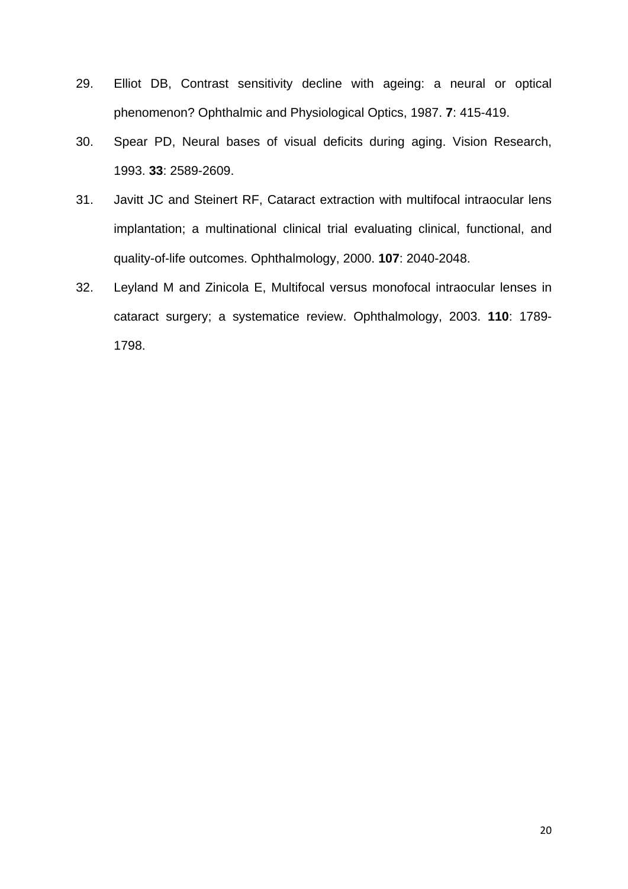- 29. Elliot DB, Contrast sensitivity decline with ageing: a neural or optical phenomenon? Ophthalmic and Physiological Optics, 1987. **7**: 415-419.
- 30. Spear PD, Neural bases of visual deficits during aging. Vision Research, 1993. **33**: 2589-2609.
- 31. Javitt JC and Steinert RF, Cataract extraction with multifocal intraocular lens implantation; a multinational clinical trial evaluating clinical, functional, and quality-of-life outcomes. Ophthalmology, 2000. **107**: 2040-2048.
- 32. Leyland M and Zinicola E, Multifocal versus monofocal intraocular lenses in cataract surgery; a systematice review. Ophthalmology, 2003. **110**: 1789- 1798.